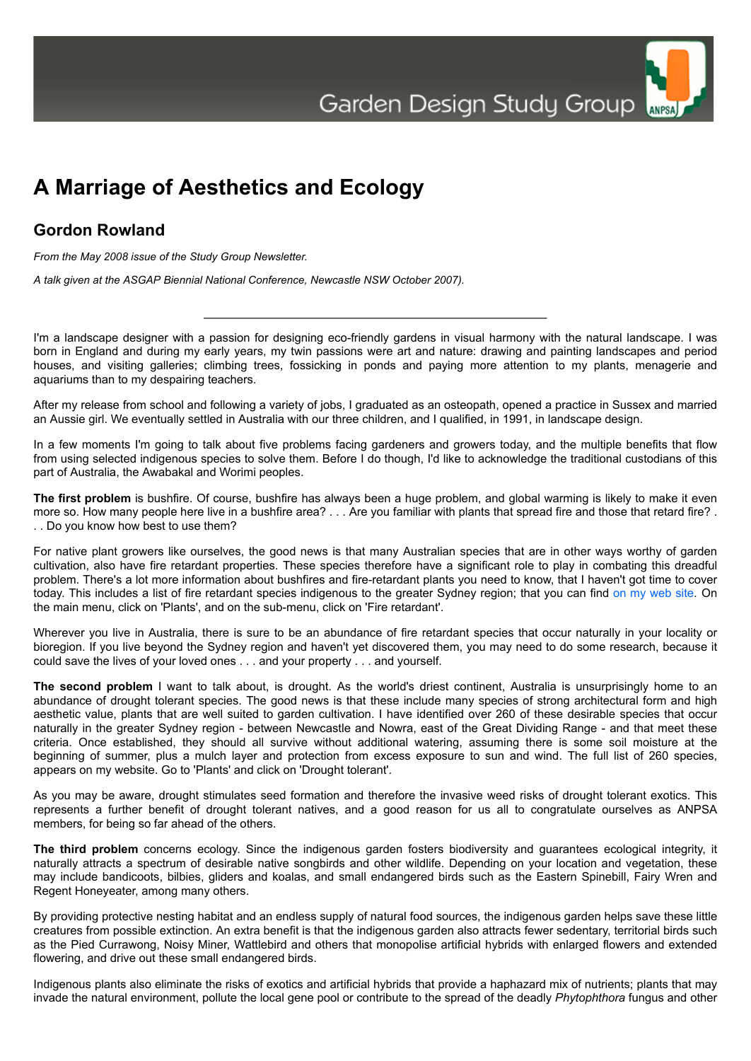

## **A Marriage of Aesthetics and Ecology**

## **Gordon Rowland**

*From the May 2008 issue of the Study Group Newsletter.*

*A talk given at the ASGAP Biennial National Conference, Newcastle NSW October 2007).*

I'm a landscape designer with a passion for designing eco-friendly gardens in visual harmony with the natural landscape. I was born in England and during my early years, my twin passions were art and nature: drawing and painting landscapes and period houses, and visiting galleries; climbing trees, fossicking in ponds and paying more attention to my plants, menagerie and aquariums than to my despairing teachers.

After my release from school and following a variety of jobs, I graduated as an osteopath, opened a practice in Sussex and married an Aussie girl. We eventually settled in Australia with our three children, and I qualified, in 1991, in landscape design.

In a few moments I'm going to talk about five problems facing gardeners and growers today, and the multiple benefits that flow from using selected indigenous species to solve them. Before I do though, I'd like to acknowledge the traditional custodians of this part of Australia, the Awabakal and Worimi peoples.

**The first problem** is bushfire. Of course, bushfire has always been a huge problem, and global warming is likely to make it even more so. How many people here live in a bushfire area? . . . Are you familiar with plants that spread fire and those that retard fire? . . . Do you know how best to use them?

For native plant growers like ourselves, the good news is that many Australian species that are in other ways worthy of garden cultivation, also have fire retardant properties. These species therefore have a significant role to play in combating this dreadful problem. There's a lot more information about bushfires and fire-retardant plants you need to know, that I haven't got time to cover today. This includes a list of fire retardant species indigenous to the greater Sydney region; that you can find [on my web site.](http://www.ilda.com.au/) On the main menu, click on 'Plants', and on the sub-menu, click on 'Fire retardant'.

Wherever you live in Australia, there is sure to be an abundance of fire retardant species that occur naturally in your locality or bioregion. If you live beyond the Sydney region and haven't yet discovered them, you may need to do some research, because it could save the lives of your loved ones . . . and your property . . . and yourself.

**The second problem** I want to talk about, is drought. As the world's driest continent, Australia is unsurprisingly home to an abundance of drought tolerant species. The good news is that these include many species of strong architectural form and high aesthetic value, plants that are well suited to garden cultivation. I have identified over 260 of these desirable species that occur naturally in the greater Sydney region - between Newcastle and Nowra, east of the Great Dividing Range - and that meet these criteria. Once established, they should all survive without additional watering, assuming there is some soil moisture at the beginning of summer, plus a mulch layer and protection from excess exposure to sun and wind. The full list of 260 species, appears on my website. Go to 'Plants' and click on 'Drought tolerant'.

As you may be aware, drought stimulates seed formation and therefore the invasive weed risks of drought tolerant exotics. This represents a further benefit of drought tolerant natives, and a good reason for us all to congratulate ourselves as ANPSA members, for being so far ahead of the others.

**The third problem** concerns ecology. Since the indigenous garden fosters biodiversity and guarantees ecological integrity, it naturally attracts a spectrum of desirable native songbirds and other wildlife. Depending on your location and vegetation, these may include bandicoots, bilbies, gliders and koalas, and small endangered birds such as the Eastern Spinebill, Fairy Wren and Regent Honeyeater, among many others.

By providing protective nesting habitat and an endless supply of natural food sources, the indigenous garden helps save these little creatures from possible extinction. An extra benefit is that the indigenous garden also attracts fewer sedentary, territorial birds such as the Pied Currawong, Noisy Miner, Wattlebird and others that monopolise artificial hybrids with enlarged flowers and extended flowering, and drive out these small endangered birds.

Indigenous plants also eliminate the risks of exotics and artificial hybrids that provide a haphazard mix of nutrients; plants that may invade the natural environment, pollute the local gene pool or contribute to the spread of the deadly *Phytophthora* fungus and other